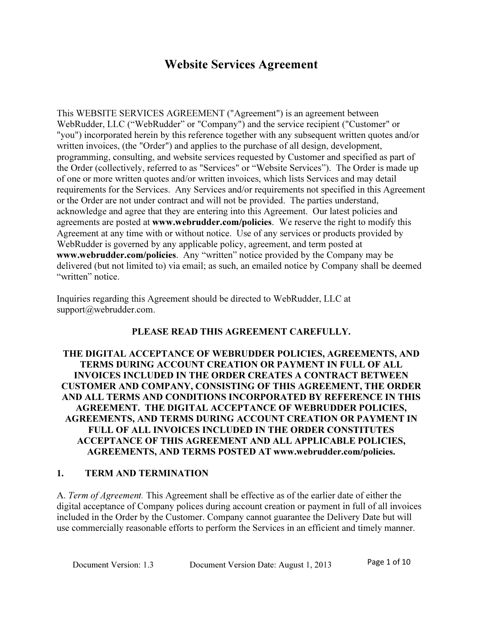# Website Services Agreement

This WEBSITE SERVICES AGREEMENT ("Agreement") is an agreement between WebRudder, LLC ("WebRudder" or "Company") and the service recipient ("Customer" or "you") incorporated herein by this reference together with any subsequent written quotes and/or written invoices, (the "Order") and applies to the purchase of all design, development, programming, consulting, and website services requested by Customer and specified as part of the Order (collectively, referred to as "Services" or "Website Services"). The Order is made up of one or more written quotes and/or written invoices, which lists Services and may detail requirements for the Services. Any Services and/or requirements not specified in this Agreement or the Order are not under contract and will not be provided. The parties understand, acknowledge and agree that they are entering into this Agreement. Our latest policies and agreements are posted at **www.webrudder.com/policies**. We reserve the right to modify this Agreement at any time with or without notice. Use of any services or products provided by WebRudder is governed by any applicable policy, agreement, and term posted at www.webrudder.com/policies. Any "written" notice provided by the Company may be delivered (but not limited to) via email; as such, an emailed notice by Company shall be deemed "written" notice.

Inquiries regarding this Agreement should be directed to WebRudder, LLC at support@webrudder.com.

#### PLEASE READ THIS AGREEMENT CAREFULLY.

#### THE DIGITAL ACCEPTANCE OF WEBRUDDER POLICIES, AGREEMENTS, AND TERMS DURING ACCOUNT CREATION OR PAYMENT IN FULL OF ALL INVOICES INCLUDED IN THE ORDER CREATES A CONTRACT BETWEEN CUSTOMER AND COMPANY, CONSISTING OF THIS AGREEMENT, THE ORDER AND ALL TERMS AND CONDITIONS INCORPORATED BY REFERENCE IN THIS AGREEMENT. THE DIGITAL ACCEPTANCE OF WEBRUDDER POLICIES, AGREEMENTS, AND TERMS DURING ACCOUNT CREATION OR PAYMENT IN FULL OF ALL INVOICES INCLUDED IN THE ORDER CONSTITUTES ACCEPTANCE OF THIS AGREEMENT AND ALL APPLICABLE POLICIES, AGREEMENTS, AND TERMS POSTED AT www.webrudder.com/policies.

#### 1. TERM AND TERMINATION

A. Term of Agreement. This Agreement shall be effective as of the earlier date of either the digital acceptance of Company polices during account creation or payment in full of all invoices included in the Order by the Customer. Company cannot guarantee the Delivery Date but will use commercially reasonable efforts to perform the Services in an efficient and timely manner.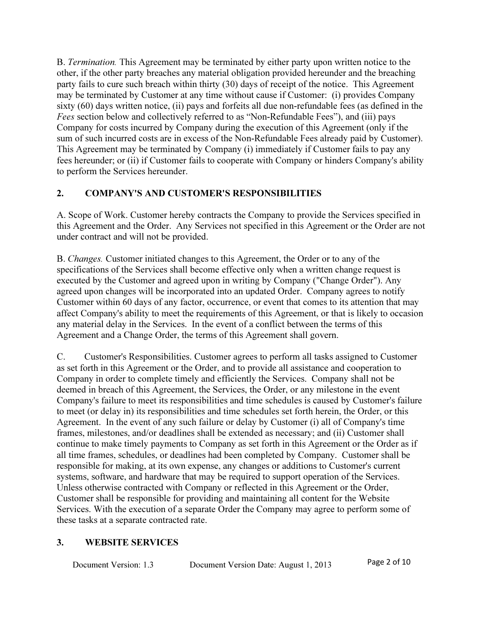B. Termination. This Agreement may be terminated by either party upon written notice to the other, if the other party breaches any material obligation provided hereunder and the breaching party fails to cure such breach within thirty (30) days of receipt of the notice. This Agreement may be terminated by Customer at any time without cause if Customer: (i) provides Company sixty (60) days written notice, (ii) pays and forfeits all due non-refundable fees (as defined in the Fees section below and collectively referred to as "Non-Refundable Fees"), and (iii) pays Company for costs incurred by Company during the execution of this Agreement (only if the sum of such incurred costs are in excess of the Non-Refundable Fees already paid by Customer). This Agreement may be terminated by Company (i) immediately if Customer fails to pay any fees hereunder; or (ii) if Customer fails to cooperate with Company or hinders Company's ability to perform the Services hereunder.

### 2. COMPANY'S AND CUSTOMER'S RESPONSIBILITIES

A. Scope of Work. Customer hereby contracts the Company to provide the Services specified in this Agreement and the Order. Any Services not specified in this Agreement or the Order are not under contract and will not be provided.

B. Changes. Customer initiated changes to this Agreement, the Order or to any of the specifications of the Services shall become effective only when a written change request is executed by the Customer and agreed upon in writing by Company ("Change Order"). Any agreed upon changes will be incorporated into an updated Order. Company agrees to notify Customer within 60 days of any factor, occurrence, or event that comes to its attention that may affect Company's ability to meet the requirements of this Agreement, or that is likely to occasion any material delay in the Services. In the event of a conflict between the terms of this Agreement and a Change Order, the terms of this Agreement shall govern.

C. Customer's Responsibilities. Customer agrees to perform all tasks assigned to Customer as set forth in this Agreement or the Order, and to provide all assistance and cooperation to Company in order to complete timely and efficiently the Services. Company shall not be deemed in breach of this Agreement, the Services, the Order, or any milestone in the event Company's failure to meet its responsibilities and time schedules is caused by Customer's failure to meet (or delay in) its responsibilities and time schedules set forth herein, the Order, or this Agreement. In the event of any such failure or delay by Customer (i) all of Company's time frames, milestones, and/or deadlines shall be extended as necessary; and (ii) Customer shall continue to make timely payments to Company as set forth in this Agreement or the Order as if all time frames, schedules, or deadlines had been completed by Company. Customer shall be responsible for making, at its own expense, any changes or additions to Customer's current systems, software, and hardware that may be required to support operation of the Services. Unless otherwise contracted with Company or reflected in this Agreement or the Order, Customer shall be responsible for providing and maintaining all content for the Website Services. With the execution of a separate Order the Company may agree to perform some of these tasks at a separate contracted rate.

#### 3. WEBSITE SERVICES

| Document Version: 1.3 | Document Version Date: August 1, 2013 | Page 2 of 10 |
|-----------------------|---------------------------------------|--------------|
|-----------------------|---------------------------------------|--------------|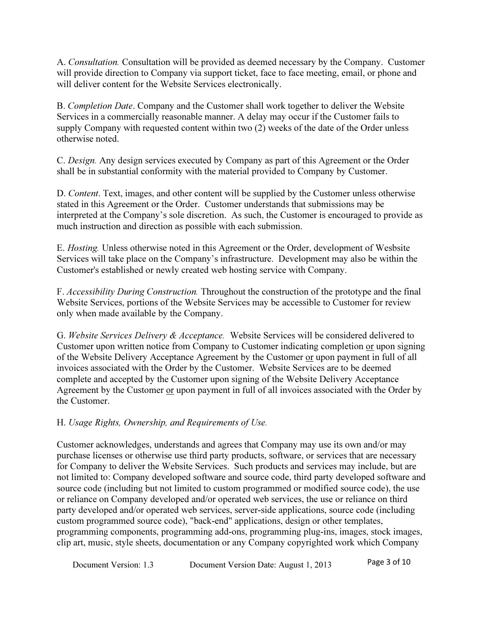A. Consultation. Consultation will be provided as deemed necessary by the Company. Customer will provide direction to Company via support ticket, face to face meeting, email, or phone and will deliver content for the Website Services electronically.

B. Completion Date. Company and the Customer shall work together to deliver the Website Services in a commercially reasonable manner. A delay may occur if the Customer fails to supply Company with requested content within two (2) weeks of the date of the Order unless otherwise noted.

C. Design. Any design services executed by Company as part of this Agreement or the Order shall be in substantial conformity with the material provided to Company by Customer.

D. Content. Text, images, and other content will be supplied by the Customer unless otherwise stated in this Agreement or the Order. Customer understands that submissions may be interpreted at the Company's sole discretion. As such, the Customer is encouraged to provide as much instruction and direction as possible with each submission.

E. Hosting. Unless otherwise noted in this Agreement or the Order, development of Wesbsite Services will take place on the Company's infrastructure. Development may also be within the Customer's established or newly created web hosting service with Company.

F. Accessibility During Construction. Throughout the construction of the prototype and the final Website Services, portions of the Website Services may be accessible to Customer for review only when made available by the Company.

G. Website Services Delivery & Acceptance. Website Services will be considered delivered to Customer upon written notice from Company to Customer indicating completion or upon signing of the Website Delivery Acceptance Agreement by the Customer or upon payment in full of all invoices associated with the Order by the Customer. Website Services are to be deemed complete and accepted by the Customer upon signing of the Website Delivery Acceptance Agreement by the Customer or upon payment in full of all invoices associated with the Order by the Customer.

### H. Usage Rights, Ownership, and Requirements of Use.

Customer acknowledges, understands and agrees that Company may use its own and/or may purchase licenses or otherwise use third party products, software, or services that are necessary for Company to deliver the Website Services. Such products and services may include, but are not limited to: Company developed software and source code, third party developed software and source code (including but not limited to custom programmed or modified source code), the use or reliance on Company developed and/or operated web services, the use or reliance on third party developed and/or operated web services, server-side applications, source code (including custom programmed source code), "back-end" applications, design or other templates, programming components, programming add-ons, programming plug-ins, images, stock images, clip art, music, style sheets, documentation or any Company copyrighted work which Company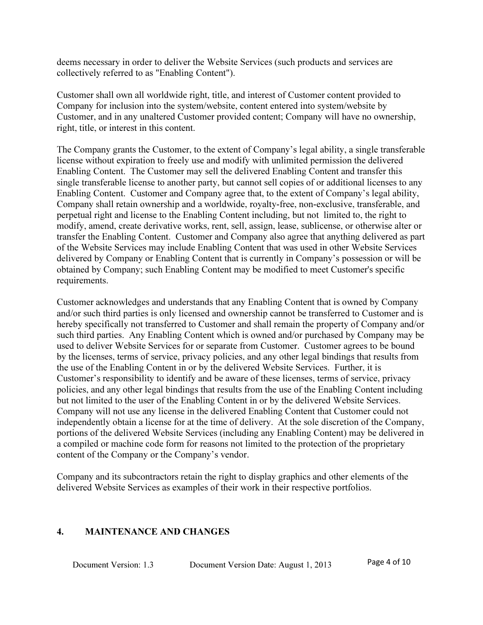deems necessary in order to deliver the Website Services (such products and services are collectively referred to as "Enabling Content").

Customer shall own all worldwide right, title, and interest of Customer content provided to Company for inclusion into the system/website, content entered into system/website by Customer, and in any unaltered Customer provided content; Company will have no ownership, right, title, or interest in this content.

The Company grants the Customer, to the extent of Company's legal ability, a single transferable license without expiration to freely use and modify with unlimited permission the delivered Enabling Content. The Customer may sell the delivered Enabling Content and transfer this single transferable license to another party, but cannot sell copies of or additional licenses to any Enabling Content. Customer and Company agree that, to the extent of Company's legal ability, Company shall retain ownership and a worldwide, royalty-free, non-exclusive, transferable, and perpetual right and license to the Enabling Content including, but not limited to, the right to modify, amend, create derivative works, rent, sell, assign, lease, sublicense, or otherwise alter or transfer the Enabling Content. Customer and Company also agree that anything delivered as part of the Website Services may include Enabling Content that was used in other Website Services delivered by Company or Enabling Content that is currently in Company's possession or will be obtained by Company; such Enabling Content may be modified to meet Customer's specific requirements.

Customer acknowledges and understands that any Enabling Content that is owned by Company and/or such third parties is only licensed and ownership cannot be transferred to Customer and is hereby specifically not transferred to Customer and shall remain the property of Company and/or such third parties. Any Enabling Content which is owned and/or purchased by Company may be used to deliver Website Services for or separate from Customer. Customer agrees to be bound by the licenses, terms of service, privacy policies, and any other legal bindings that results from the use of the Enabling Content in or by the delivered Website Services. Further, it is Customer's responsibility to identify and be aware of these licenses, terms of service, privacy policies, and any other legal bindings that results from the use of the Enabling Content including but not limited to the user of the Enabling Content in or by the delivered Website Services. Company will not use any license in the delivered Enabling Content that Customer could not independently obtain a license for at the time of delivery. At the sole discretion of the Company, portions of the delivered Website Services (including any Enabling Content) may be delivered in a compiled or machine code form for reasons not limited to the protection of the proprietary content of the Company or the Company's vendor.

Company and its subcontractors retain the right to display graphics and other elements of the delivered Website Services as examples of their work in their respective portfolios.

#### 4. MAINTENANCE AND CHANGES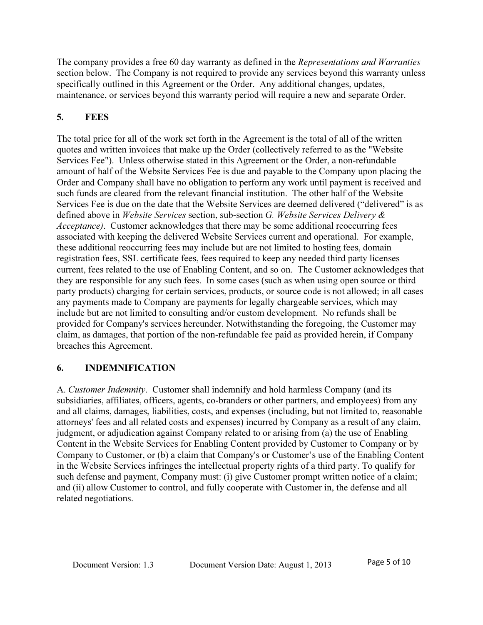The company provides a free 60 day warranty as defined in the *Representations and Warranties* section below. The Company is not required to provide any services beyond this warranty unless specifically outlined in this Agreement or the Order. Any additional changes, updates, maintenance, or services beyond this warranty period will require a new and separate Order.

# 5. FEES

The total price for all of the work set forth in the Agreement is the total of all of the written quotes and written invoices that make up the Order (collectively referred to as the "Website Services Fee"). Unless otherwise stated in this Agreement or the Order, a non-refundable amount of half of the Website Services Fee is due and payable to the Company upon placing the Order and Company shall have no obligation to perform any work until payment is received and such funds are cleared from the relevant financial institution. The other half of the Website Services Fee is due on the date that the Website Services are deemed delivered ("delivered" is as defined above in Website Services section, sub-section G. Website Services Delivery  $\&$ Acceptance). Customer acknowledges that there may be some additional reoccurring fees associated with keeping the delivered Website Services current and operational. For example, these additional reoccurring fees may include but are not limited to hosting fees, domain registration fees, SSL certificate fees, fees required to keep any needed third party licenses current, fees related to the use of Enabling Content, and so on. The Customer acknowledges that they are responsible for any such fees. In some cases (such as when using open source or third party products) charging for certain services, products, or source code is not allowed; in all cases any payments made to Company are payments for legally chargeable services, which may include but are not limited to consulting and/or custom development. No refunds shall be provided for Company's services hereunder. Notwithstanding the foregoing, the Customer may claim, as damages, that portion of the non-refundable fee paid as provided herein, if Company breaches this Agreement.

# 6. INDEMNIFICATION

A. Customer Indemnity. Customer shall indemnify and hold harmless Company (and its subsidiaries, affiliates, officers, agents, co-branders or other partners, and employees) from any and all claims, damages, liabilities, costs, and expenses (including, but not limited to, reasonable attorneys' fees and all related costs and expenses) incurred by Company as a result of any claim, judgment, or adjudication against Company related to or arising from (a) the use of Enabling Content in the Website Services for Enabling Content provided by Customer to Company or by Company to Customer, or (b) a claim that Company's or Customer's use of the Enabling Content in the Website Services infringes the intellectual property rights of a third party. To qualify for such defense and payment, Company must: (i) give Customer prompt written notice of a claim; and (ii) allow Customer to control, and fully cooperate with Customer in, the defense and all related negotiations.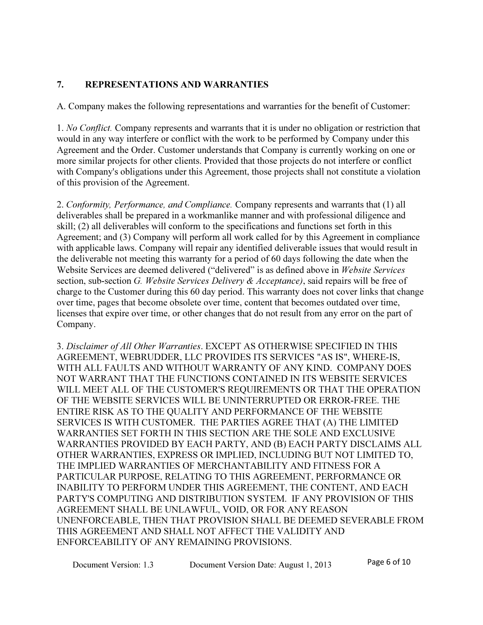### 7. REPRESENTATIONS AND WARRANTIES

A. Company makes the following representations and warranties for the benefit of Customer:

1. No Conflict. Company represents and warrants that it is under no obligation or restriction that would in any way interfere or conflict with the work to be performed by Company under this Agreement and the Order. Customer understands that Company is currently working on one or more similar projects for other clients. Provided that those projects do not interfere or conflict with Company's obligations under this Agreement, those projects shall not constitute a violation of this provision of the Agreement.

2. Conformity, Performance, and Compliance. Company represents and warrants that (1) all deliverables shall be prepared in a workmanlike manner and with professional diligence and skill; (2) all deliverables will conform to the specifications and functions set forth in this Agreement; and (3) Company will perform all work called for by this Agreement in compliance with applicable laws. Company will repair any identified deliverable issues that would result in the deliverable not meeting this warranty for a period of 60 days following the date when the Website Services are deemed delivered ("delivered" is as defined above in Website Services" section, sub-section G. Website Services Delivery & Acceptance), said repairs will be free of charge to the Customer during this 60 day period. This warranty does not cover links that change over time, pages that become obsolete over time, content that becomes outdated over time, licenses that expire over time, or other changes that do not result from any error on the part of Company.

3. Disclaimer of All Other Warranties. EXCEPT AS OTHERWISE SPECIFIED IN THIS AGREEMENT, WEBRUDDER, LLC PROVIDES ITS SERVICES "AS IS", WHERE-IS, WITH ALL FAULTS AND WITHOUT WARRANTY OF ANY KIND. COMPANY DOES NOT WARRANT THAT THE FUNCTIONS CONTAINED IN ITS WEBSITE SERVICES WILL MEET ALL OF THE CUSTOMER'S REQUIREMENTS OR THAT THE OPERATION OF THE WEBSITE SERVICES WILL BE UNINTERRUPTED OR ERROR-FREE. THE ENTIRE RISK AS TO THE QUALITY AND PERFORMANCE OF THE WEBSITE SERVICES IS WITH CUSTOMER. THE PARTIES AGREE THAT (A) THE LIMITED WARRANTIES SET FORTH IN THIS SECTION ARE THE SOLE AND EXCLUSIVE WARRANTIES PROVIDED BY EACH PARTY, AND (B) EACH PARTY DISCLAIMS ALL OTHER WARRANTIES, EXPRESS OR IMPLIED, INCLUDING BUT NOT LIMITED TO, THE IMPLIED WARRANTIES OF MERCHANTABILITY AND FITNESS FOR A PARTICULAR PURPOSE, RELATING TO THIS AGREEMENT, PERFORMANCE OR INABILITY TO PERFORM UNDER THIS AGREEMENT, THE CONTENT, AND EACH PARTY'S COMPUTING AND DISTRIBUTION SYSTEM. IF ANY PROVISION OF THIS AGREEMENT SHALL BE UNLAWFUL, VOID, OR FOR ANY REASON UNENFORCEABLE, THEN THAT PROVISION SHALL BE DEEMED SEVERABLE FROM THIS AGREEMENT AND SHALL NOT AFFECT THE VALIDITY AND ENFORCEABILITY OF ANY REMAINING PROVISIONS.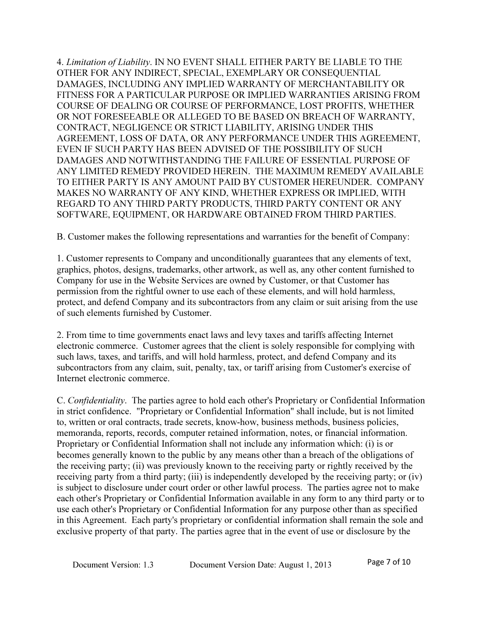4. Limitation of Liability. IN NO EVENT SHALL EITHER PARTY BE LIABLE TO THE OTHER FOR ANY INDIRECT, SPECIAL, EXEMPLARY OR CONSEQUENTIAL DAMAGES, INCLUDING ANY IMPLIED WARRANTY OF MERCHANTABILITY OR FITNESS FOR A PARTICULAR PURPOSE OR IMPLIED WARRANTIES ARISING FROM COURSE OF DEALING OR COURSE OF PERFORMANCE, LOST PROFITS, WHETHER OR NOT FORESEEABLE OR ALLEGED TO BE BASED ON BREACH OF WARRANTY, CONTRACT, NEGLIGENCE OR STRICT LIABILITY, ARISING UNDER THIS AGREEMENT, LOSS OF DATA, OR ANY PERFORMANCE UNDER THIS AGREEMENT, EVEN IF SUCH PARTY HAS BEEN ADVISED OF THE POSSIBILITY OF SUCH DAMAGES AND NOTWITHSTANDING THE FAILURE OF ESSENTIAL PURPOSE OF ANY LIMITED REMEDY PROVIDED HEREIN. THE MAXIMUM REMEDY AVAILABLE TO EITHER PARTY IS ANY AMOUNT PAID BY CUSTOMER HEREUNDER. COMPANY MAKES NO WARRANTY OF ANY KIND, WHETHER EXPRESS OR IMPLIED, WITH REGARD TO ANY THIRD PARTY PRODUCTS, THIRD PARTY CONTENT OR ANY SOFTWARE, EQUIPMENT, OR HARDWARE OBTAINED FROM THIRD PARTIES.

B. Customer makes the following representations and warranties for the benefit of Company:

1. Customer represents to Company and unconditionally guarantees that any elements of text, graphics, photos, designs, trademarks, other artwork, as well as, any other content furnished to Company for use in the Website Services are owned by Customer, or that Customer has permission from the rightful owner to use each of these elements, and will hold harmless, protect, and defend Company and its subcontractors from any claim or suit arising from the use of such elements furnished by Customer.

2. From time to time governments enact laws and levy taxes and tariffs affecting Internet electronic commerce. Customer agrees that the client is solely responsible for complying with such laws, taxes, and tariffs, and will hold harmless, protect, and defend Company and its subcontractors from any claim, suit, penalty, tax, or tariff arising from Customer's exercise of Internet electronic commerce.

C. Confidentiality. The parties agree to hold each other's Proprietary or Confidential Information in strict confidence. "Proprietary or Confidential Information" shall include, but is not limited to, written or oral contracts, trade secrets, know-how, business methods, business policies, memoranda, reports, records, computer retained information, notes, or financial information. Proprietary or Confidential Information shall not include any information which: (i) is or becomes generally known to the public by any means other than a breach of the obligations of the receiving party; (ii) was previously known to the receiving party or rightly received by the receiving party from a third party; (iii) is independently developed by the receiving party; or (iv) is subject to disclosure under court order or other lawful process. The parties agree not to make each other's Proprietary or Confidential Information available in any form to any third party or to use each other's Proprietary or Confidential Information for any purpose other than as specified in this Agreement. Each party's proprietary or confidential information shall remain the sole and exclusive property of that party. The parties agree that in the event of use or disclosure by the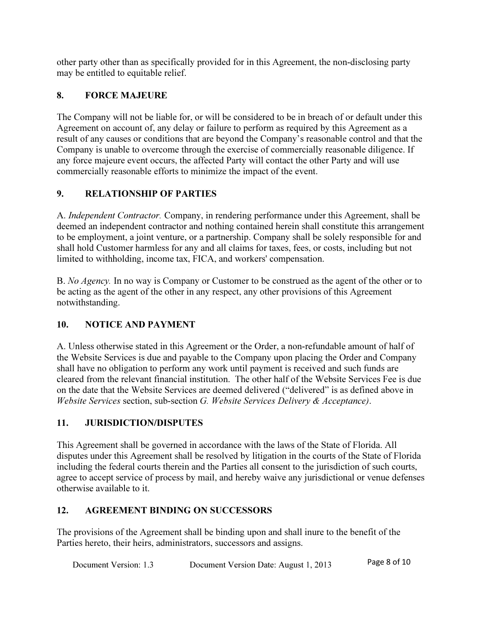other party other than as specifically provided for in this Agreement, the non-disclosing party may be entitled to equitable relief.

# 8. FORCE MAJEURE

The Company will not be liable for, or will be considered to be in breach of or default under this Agreement on account of, any delay or failure to perform as required by this Agreement as a result of any causes or conditions that are beyond the Company's reasonable control and that the Company is unable to overcome through the exercise of commercially reasonable diligence. If any force majeure event occurs, the affected Party will contact the other Party and will use commercially reasonable efforts to minimize the impact of the event.

# 9. RELATIONSHIP OF PARTIES

A. Independent Contractor. Company, in rendering performance under this Agreement, shall be deemed an independent contractor and nothing contained herein shall constitute this arrangement to be employment, a joint venture, or a partnership. Company shall be solely responsible for and shall hold Customer harmless for any and all claims for taxes, fees, or costs, including but not limited to withholding, income tax, FICA, and workers' compensation.

B. No Agency. In no way is Company or Customer to be construed as the agent of the other or to be acting as the agent of the other in any respect, any other provisions of this Agreement notwithstanding.

# 10. NOTICE AND PAYMENT

A. Unless otherwise stated in this Agreement or the Order, a non-refundable amount of half of the Website Services is due and payable to the Company upon placing the Order and Company shall have no obligation to perform any work until payment is received and such funds are cleared from the relevant financial institution. The other half of the Website Services Fee is due on the date that the Website Services are deemed delivered ("delivered" is as defined above in Website Services section, sub-section G. Website Services Delivery & Acceptance).

# 11. JURISDICTION/DISPUTES

This Agreement shall be governed in accordance with the laws of the State of Florida. All disputes under this Agreement shall be resolved by litigation in the courts of the State of Florida including the federal courts therein and the Parties all consent to the jurisdiction of such courts, agree to accept service of process by mail, and hereby waive any jurisdictional or venue defenses otherwise available to it.

# 12. AGREEMENT BINDING ON SUCCESSORS

The provisions of the Agreement shall be binding upon and shall inure to the benefit of the Parties hereto, their heirs, administrators, successors and assigns.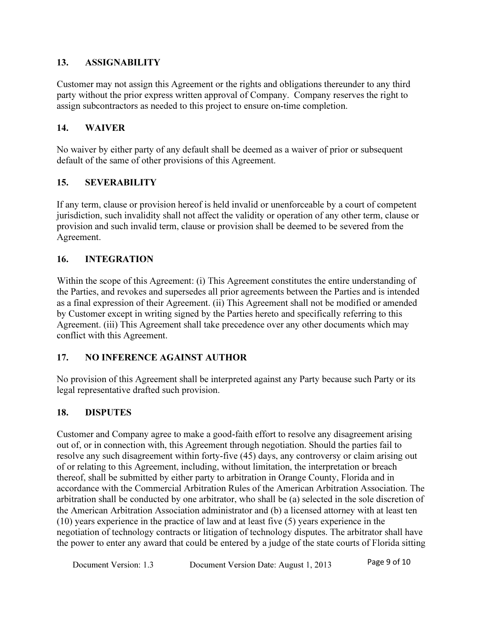### 13. ASSIGNABILITY

Customer may not assign this Agreement or the rights and obligations thereunder to any third party without the prior express written approval of Company. Company reserves the right to assign subcontractors as needed to this project to ensure on-time completion.

### 14. WAIVER

No waiver by either party of any default shall be deemed as a waiver of prior or subsequent default of the same of other provisions of this Agreement.

### 15. SEVERABILITY

If any term, clause or provision hereof is held invalid or unenforceable by a court of competent jurisdiction, such invalidity shall not affect the validity or operation of any other term, clause or provision and such invalid term, clause or provision shall be deemed to be severed from the Agreement.

### 16. INTEGRATION

Within the scope of this Agreement: (i) This Agreement constitutes the entire understanding of the Parties, and revokes and supersedes all prior agreements between the Parties and is intended as a final expression of their Agreement. (ii) This Agreement shall not be modified or amended by Customer except in writing signed by the Parties hereto and specifically referring to this Agreement. (iii) This Agreement shall take precedence over any other documents which may conflict with this Agreement.

#### 17. NO INFERENCE AGAINST AUTHOR

No provision of this Agreement shall be interpreted against any Party because such Party or its legal representative drafted such provision.

#### 18. DISPUTES

Customer and Company agree to make a good-faith effort to resolve any disagreement arising out of, or in connection with, this Agreement through negotiation. Should the parties fail to resolve any such disagreement within forty-five (45) days, any controversy or claim arising out of or relating to this Agreement, including, without limitation, the interpretation or breach thereof, shall be submitted by either party to arbitration in Orange County, Florida and in accordance with the Commercial Arbitration Rules of the American Arbitration Association. The arbitration shall be conducted by one arbitrator, who shall be (a) selected in the sole discretion of the American Arbitration Association administrator and (b) a licensed attorney with at least ten (10) years experience in the practice of law and at least five (5) years experience in the negotiation of technology contracts or litigation of technology disputes. The arbitrator shall have the power to enter any award that could be entered by a judge of the state courts of Florida sitting